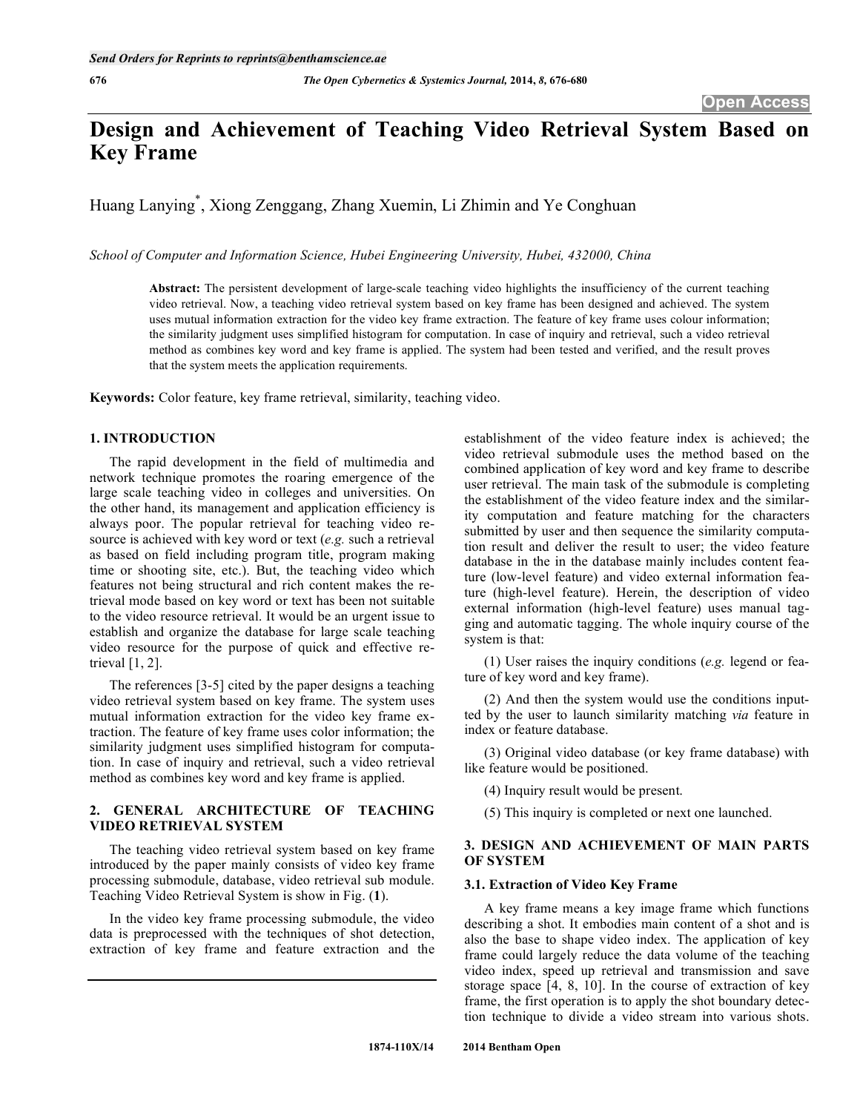# **Design and Achievement of Teaching Video Retrieval System Based on Key Frame**

Huang Lanying\* , Xiong Zenggang, Zhang Xuemin, Li Zhimin and Ye Conghuan

*School of Computer and Information Science, Hubei Engineering University, Hubei, 432000, China* 

**Abstract:** The persistent development of large-scale teaching video highlights the insufficiency of the current teaching video retrieval. Now, a teaching video retrieval system based on key frame has been designed and achieved. The system uses mutual information extraction for the video key frame extraction. The feature of key frame uses colour information; the similarity judgment uses simplified histogram for computation. In case of inquiry and retrieval, such a video retrieval method as combines key word and key frame is applied. The system had been tested and verified, and the result proves that the system meets the application requirements.

**Keywords:** Color feature, key frame retrieval, similarity, teaching video.

### **1. INTRODUCTION**

The rapid development in the field of multimedia and network technique promotes the roaring emergence of the large scale teaching video in colleges and universities. On the other hand, its management and application efficiency is always poor. The popular retrieval for teaching video resource is achieved with key word or text (*e.g.* such a retrieval as based on field including program title, program making time or shooting site, etc.). But, the teaching video which features not being structural and rich content makes the retrieval mode based on key word or text has been not suitable to the video resource retrieval. It would be an urgent issue to establish and organize the database for large scale teaching video resource for the purpose of quick and effective retrieval [1, 2].

The references [3-5] cited by the paper designs a teaching video retrieval system based on key frame. The system uses mutual information extraction for the video key frame extraction. The feature of key frame uses color information; the similarity judgment uses simplified histogram for computation. In case of inquiry and retrieval, such a video retrieval method as combines key word and key frame is applied.

# **2. GENERAL ARCHITECTURE OF TEACHING VIDEO RETRIEVAL SYSTEM**

The teaching video retrieval system based on key frame introduced by the paper mainly consists of video key frame processing submodule, database, video retrieval sub module. Teaching Video Retrieval System is show in Fig. (**1**).

In the video key frame processing submodule, the video data is preprocessed with the techniques of shot detection, extraction of key frame and feature extraction and the establishment of the video feature index is achieved; the video retrieval submodule uses the method based on the combined application of key word and key frame to describe user retrieval. The main task of the submodule is completing the establishment of the video feature index and the similarity computation and feature matching for the characters submitted by user and then sequence the similarity computation result and deliver the result to user; the video feature database in the in the database mainly includes content feature (low-level feature) and video external information feature (high-level feature). Herein, the description of video external information (high-level feature) uses manual tagging and automatic tagging. The whole inquiry course of the system is that:

(1) User raises the inquiry conditions (*e.g.* legend or feature of key word and key frame).

(2) And then the system would use the conditions inputted by the user to launch similarity matching *via* feature in index or feature database.

(3) Original video database (or key frame database) with like feature would be positioned.

- (4) Inquiry result would be present.
- (5) This inquiry is completed or next one launched.

# **3. DESIGN AND ACHIEVEMENT OF MAIN PARTS OF SYSTEM**

# **3.1. Extraction of Video Key Frame**

A key frame means a key image frame which functions describing a shot. It embodies main content of a shot and is also the base to shape video index. The application of key frame could largely reduce the data volume of the teaching video index, speed up retrieval and transmission and save storage space [4, 8, 10]. In the course of extraction of key frame, the first operation is to apply the shot boundary detection technique to divide a video stream into various shots.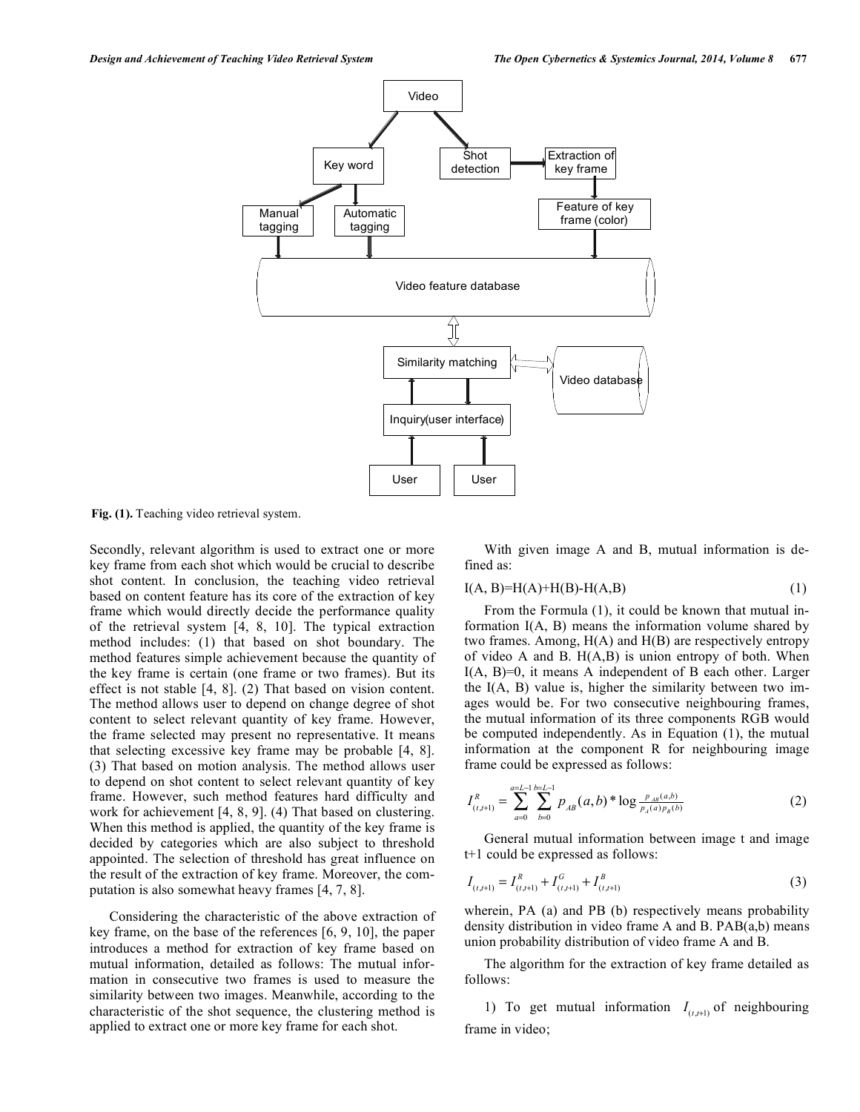

**Fig. (1).** Teaching video retrieval system.

Secondly, relevant algorithm is used to extract one or more key frame from each shot which would be crucial to describe shot content. In conclusion, the teaching video retrieval based on content feature has its core of the extraction of key frame which would directly decide the performance quality of the retrieval system [4, 8, 10]. The typical extraction method includes: (1) that based on shot boundary. The method features simple achievement because the quantity of the key frame is certain (one frame or two frames). But its effect is not stable [4, 8]. (2) That based on vision content. The method allows user to depend on change degree of shot content to select relevant quantity of key frame. However, the frame selected may present no representative. It means that selecting excessive key frame may be probable [4, 8]. (3) That based on motion analysis. The method allows user to depend on shot content to select relevant quantity of key frame. However, such method features hard difficulty and work for achievement [4, 8, 9]. (4) That based on clustering. When this method is applied, the quantity of the key frame is decided by categories which are also subject to threshold appointed. The selection of threshold has great influence on the result of the extraction of key frame. Moreover, the computation is also somewhat heavy frames [4, 7, 8].

Considering the characteristic of the above extraction of key frame, on the base of the references [6, 9, 10], the paper introduces a method for extraction of key frame based on mutual information, detailed as follows: The mutual information in consecutive two frames is used to measure the similarity between two images. Meanwhile, according to the characteristic of the shot sequence, the clustering method is applied to extract one or more key frame for each shot.

With given image A and B, mutual information is defined as:

$$
I(A, B)=H(A)+H(B)-H(A, B)
$$
 (1)

From the Formula (1), it could be known that mutual information I(A, B) means the information volume shared by two frames. Among, H(A) and H(B) are respectively entropy of video A and B.  $H(A, B)$  is union entropy of both. When I(A, B)=0, it means A independent of B each other. Larger the I(A, B) value is, higher the similarity between two images would be. For two consecutive neighbouring frames, the mutual information of its three components RGB would be computed independently. As in Equation (1), the mutual information at the component R for neighbouring image frame could be expressed as follows:

$$
I_{(t,t+1)}^R = \sum_{a=0}^{a=L-1} \sum_{b=0}^{b=L-1} p_{AB}(a,b)^* \log \frac{p_{AB}(a,b)}{p_A(a)p_B(b)} \tag{2}
$$

General mutual information between image t and image t+1 could be expressed as follows:

$$
I_{(t,t+1)} = I_{(t,t+1)}^R + I_{(t,t+1)}^G + I_{(t,t+1)}^B
$$
\n(3)

wherein, PA (a) and PB (b) respectively means probability density distribution in video frame A and B. PAB(a,b) means union probability distribution of video frame A and B.

The algorithm for the extraction of key frame detailed as follows:

1) To get mutual information  $I_{(t,t+1)}$  of neighbouring frame in video;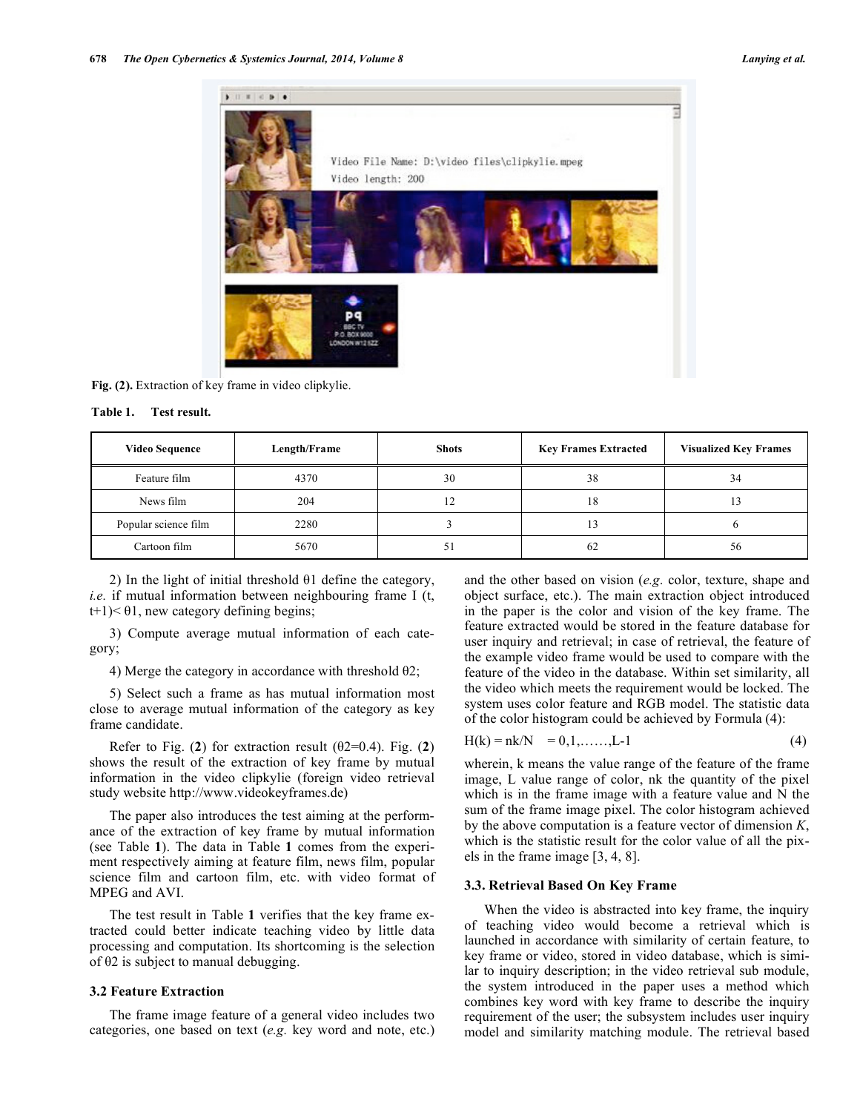

**Fig. (2).** Extraction of key frame in video clipkylie.

| Table 1. |  | Test result. |
|----------|--|--------------|
|          |  |              |

| <b>Video Sequence</b> | Length/Frame | <b>Shots</b> | <b>Key Frames Extracted</b> | <b>Visualized Key Frames</b> |
|-----------------------|--------------|--------------|-----------------------------|------------------------------|
| Feature film          | 4370         | 30           | 38                          | 34                           |
| News film             | 204          |              | 18                          |                              |
| Popular science film  | 2280         |              | 13                          |                              |
| Cartoon film          | 5670         | J.           | 62                          | 56                           |

2) In the light of initial threshold  $\theta$ 1 define the category, *i.e.* if mutual information between neighbouring frame I (t,  $t+1$ )<  $\theta$ 1, new category defining begins;

3) Compute average mutual information of each category;

4) Merge the category in accordance with threshold  $\theta$ 2;

5) Select such a frame as has mutual information most close to average mutual information of the category as key frame candidate.

Refer to Fig.  $(2)$  for extraction result  $(02=0.4)$ . Fig.  $(2)$ shows the result of the extraction of key frame by mutual information in the video clipkylie (foreign video retrieval study website http://www.videokeyframes.de)

The paper also introduces the test aiming at the performance of the extraction of key frame by mutual information (see Table **1**). The data in Table **1** comes from the experiment respectively aiming at feature film, news film, popular science film and cartoon film, etc. with video format of MPEG and AVI.

The test result in Table **1** verifies that the key frame extracted could better indicate teaching video by little data processing and computation. Its shortcoming is the selection of  $\theta$ 2 is subject to manual debugging.

#### **3.2 Feature Extraction**

The frame image feature of a general video includes two categories, one based on text (*e.g.* key word and note, etc.) and the other based on vision (*e.g.* color, texture, shape and object surface, etc.). The main extraction object introduced in the paper is the color and vision of the key frame. The feature extracted would be stored in the feature database for user inquiry and retrieval; in case of retrieval, the feature of the example video frame would be used to compare with the feature of the video in the database. Within set similarity, all the video which meets the requirement would be locked. The system uses color feature and RGB model. The statistic data of the color histogram could be achieved by Formula (4):

$$
H(k) = nk/N = 0, 1, \dots, L-1
$$
 (4)

wherein, k means the value range of the feature of the frame image, L value range of color, nk the quantity of the pixel which is in the frame image with a feature value and N the sum of the frame image pixel. The color histogram achieved by the above computation is a feature vector of dimension *K*, which is the statistic result for the color value of all the pixels in the frame image [3, 4, 8].

#### **3.3. Retrieval Based On Key Frame**

When the video is abstracted into key frame, the inquiry of teaching video would become a retrieval which is launched in accordance with similarity of certain feature, to key frame or video, stored in video database, which is similar to inquiry description; in the video retrieval sub module, the system introduced in the paper uses a method which combines key word with key frame to describe the inquiry requirement of the user; the subsystem includes user inquiry model and similarity matching module. The retrieval based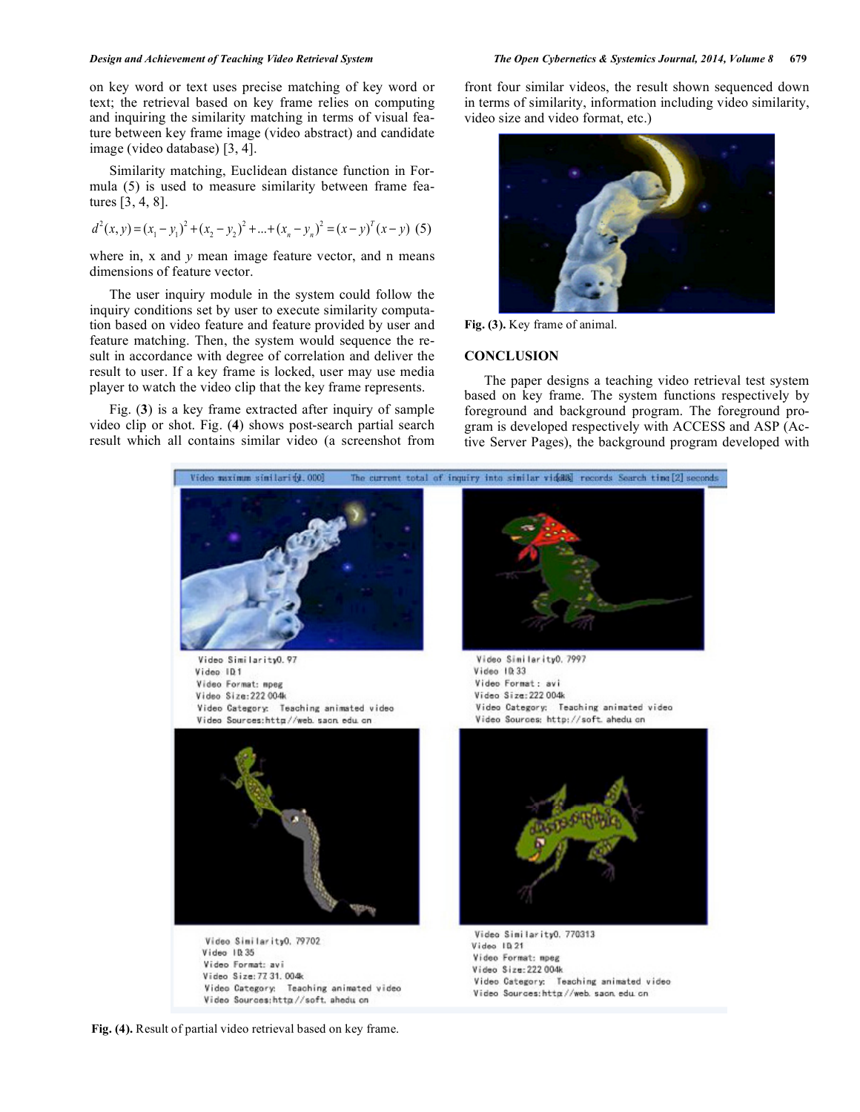#### *Design and Achievement of Teaching Video Retrieval System The Open Cybernetics & Systemics Journal, 2014, Volume 8* **679**

on key word or text uses precise matching of key word or text; the retrieval based on key frame relies on computing and inquiring the similarity matching in terms of visual feature between key frame image (video abstract) and candidate image (video database) [3, 4].

Similarity matching, Euclidean distance function in Formula (5) is used to measure similarity between frame features [3, 4, 8].

$$
d^{2}(x, y) = (x_{1} - y_{1})^{2} + (x_{2} - y_{2})^{2} + ... + (x_{n} - y_{n})^{2} = (x - y)^{T}(x - y)
$$
 (5)

where in, x and y mean image feature vector, and n means dimensions of feature vector.

The user inquiry module in the system could follow the inquiry conditions set by user to execute similarity computation based on video feature and feature provided by user and feature matching. Then, the system would sequence the result in accordance with degree of correlation and deliver the result to user. If a key frame is locked, user may use media player to watch the video clip that the key frame represents.

Fig. (**3**) is a key frame extracted after inquiry of sample video clip or shot. Fig. (**4**) shows post-search partial search result which all contains similar video (a screenshot from

front four similar videos, the result shown sequenced down in terms of similarity, information including video similarity, video size and video format, etc.)



**Fig. (3).** Key frame of animal.

## **CONCLUSION**

The paper designs a teaching video retrieval test system based on key frame. The system functions respectively by foreground and background program. The foreground program is developed respectively with ACCESS and ASP (Active Server Pages), the background program developed with



**Fig. (4).** Result of partial video retrieval based on key frame.